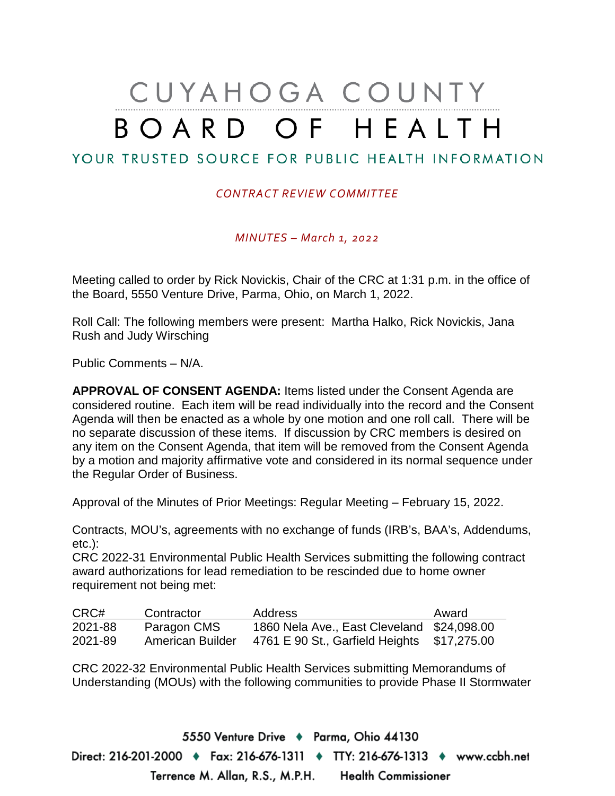# CUYAHOGA COUNTY BOARD OF HEALTH

## YOUR TRUSTED SOURCE FOR PUBLIC HEALTH INFORMATION

#### *CONTRACT REVIEW COMMITTEE*

*MINUTES – March 1, 2022*

Meeting called to order by Rick Novickis, Chair of the CRC at 1:31 p.m. in the office of the Board, 5550 Venture Drive, Parma, Ohio, on March 1, 2022.

Roll Call: The following members were present: Martha Halko, Rick Novickis, Jana Rush and Judy Wirsching

Public Comments – N/A.

**APPROVAL OF CONSENT AGENDA:** Items listed under the Consent Agenda are considered routine. Each item will be read individually into the record and the Consent Agenda will then be enacted as a whole by one motion and one roll call. There will be no separate discussion of these items. If discussion by CRC members is desired on any item on the Consent Agenda, that item will be removed from the Consent Agenda by a motion and majority affirmative vote and considered in its normal sequence under the Regular Order of Business.

Approval of the Minutes of Prior Meetings: Regular Meeting – February 15, 2022.

Contracts, MOU's, agreements with no exchange of funds (IRB's, BAA's, Addendums, etc.):

CRC 2022-31 Environmental Public Health Services submitting the following contract award authorizations for lead remediation to be rescinded due to home owner requirement not being met:

| CRC#    | Contractor       | <b>Address</b>                             | Award       |
|---------|------------------|--------------------------------------------|-------------|
| 2021-88 | Paragon CMS      | 1860 Nela Ave., East Cleveland \$24,098.00 |             |
| 2021-89 | American Builder | 4761 E 90 St., Garfield Heights            | \$17,275.00 |

CRC 2022-32 Environmental Public Health Services submitting Memorandums of Understanding (MOUs) with the following communities to provide Phase II Stormwater

5550 Venture Drive + Parma, Ohio 44130 Direct: 216-201-2000 ♦ Fax: 216-676-1311 ♦ TTY: 216-676-1313 ♦ www.ccbh.net Terrence M. Allan, R.S., M.P.H. Health Commissioner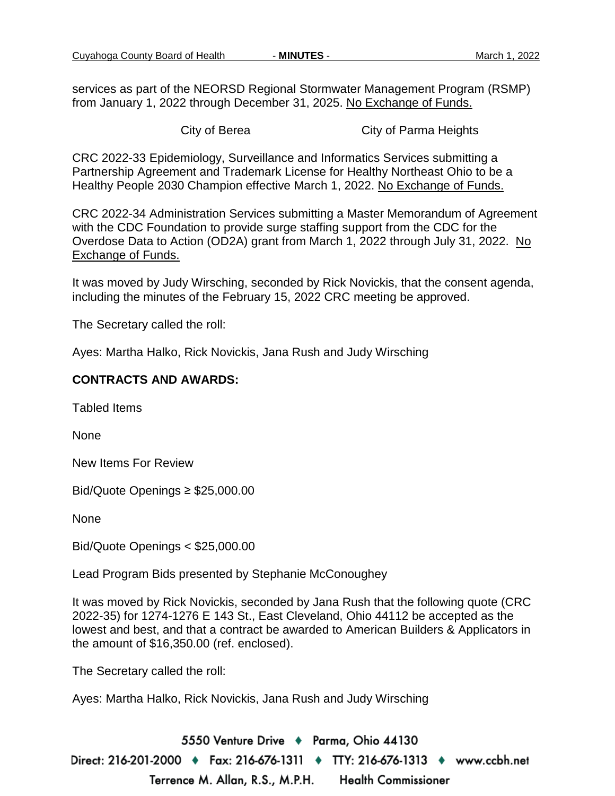services as part of the NEORSD Regional Stormwater Management Program (RSMP) from January 1, 2022 through December 31, 2025. No Exchange of Funds.

City of Berea City of Parma Heights

CRC 2022-33 Epidemiology, Surveillance and Informatics Services submitting a Partnership Agreement and Trademark License for Healthy Northeast Ohio to be a Healthy People 2030 Champion effective March 1, 2022. No Exchange of Funds.

CRC 2022-34 Administration Services submitting a Master Memorandum of Agreement with the CDC Foundation to provide surge staffing support from the CDC for the Overdose Data to Action (OD2A) grant from March 1, 2022 through July 31, 2022. No Exchange of Funds.

It was moved by Judy Wirsching, seconded by Rick Novickis, that the consent agenda, including the minutes of the February 15, 2022 CRC meeting be approved.

The Secretary called the roll:

Ayes: Martha Halko, Rick Novickis, Jana Rush and Judy Wirsching

#### **CONTRACTS AND AWARDS:**

Tabled Items

None

New Items For Review

Bid/Quote Openings ≥ \$25,000.00

None

Bid/Quote Openings < \$25,000.00

Lead Program Bids presented by Stephanie McConoughey

It was moved by Rick Novickis, seconded by Jana Rush that the following quote (CRC 2022-35) for 1274-1276 E 143 St., East Cleveland, Ohio 44112 be accepted as the lowest and best, and that a contract be awarded to American Builders & Applicators in the amount of \$16,350.00 (ref. enclosed).

The Secretary called the roll:

Ayes: Martha Halko, Rick Novickis, Jana Rush and Judy Wirsching

5550 Venture Drive + Parma, Ohio 44130 Direct: 216-201-2000 ♦ Fax: 216-676-1311 ♦ TTY: 216-676-1313 ♦ www.ccbh.net Terrence M. Allan, R.S., M.P.H. **Health Commissioner**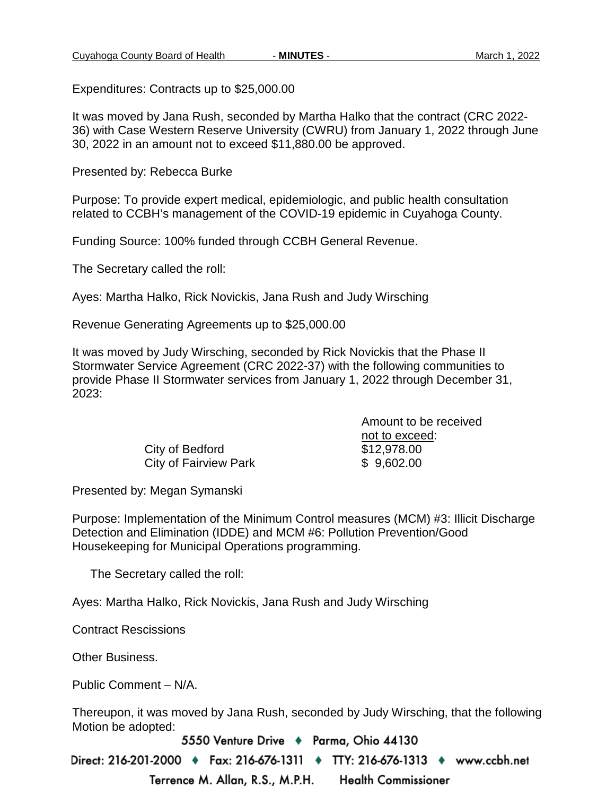Expenditures: Contracts up to \$25,000.00

It was moved by Jana Rush, seconded by Martha Halko that the contract (CRC 2022- 36) with Case Western Reserve University (CWRU) from January 1, 2022 through June 30, 2022 in an amount not to exceed \$11,880.00 be approved.

Presented by: Rebecca Burke

Purpose: To provide expert medical, epidemiologic, and public health consultation related to CCBH's management of the COVID-19 epidemic in Cuyahoga County.

Funding Source: 100% funded through CCBH General Revenue.

The Secretary called the roll:

Ayes: Martha Halko, Rick Novickis, Jana Rush and Judy Wirsching

Revenue Generating Agreements up to \$25,000.00

It was moved by Judy Wirsching, seconded by Rick Novickis that the Phase II Stormwater Service Agreement (CRC 2022-37) with the following communities to provide Phase II Stormwater services from January 1, 2022 through December 31, 2023:

> City of Bedford \$12,978.00 City of Fairview Park  $$9,602.00$

Amount to be received not to exceed:

Presented by: Megan Symanski

Purpose: Implementation of the Minimum Control measures (MCM) #3: Illicit Discharge Detection and Elimination (IDDE) and MCM #6: Pollution Prevention/Good Housekeeping for Municipal Operations programming.

The Secretary called the roll:

Ayes: Martha Halko, Rick Novickis, Jana Rush and Judy Wirsching

Contract Rescissions

Other Business.

Public Comment – N/A.

Thereupon, it was moved by Jana Rush, seconded by Judy Wirsching, that the following Motion be adopted:

5550 Venture Drive + Parma, Ohio 44130

Direct: 216-201-2000 ♦ Fax: 216-676-1311 ♦ TTY: 216-676-1313 ♦ www.ccbh.net

Terrence M. Allan, R.S., M.P.H. **Health Commissioner**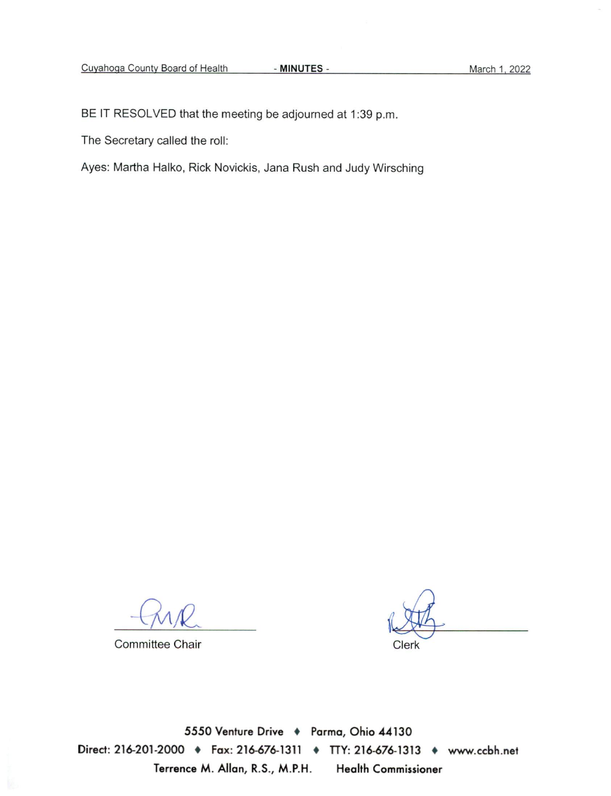BE IT RESOLVED that the meeting be adjourned at 1:39 p.m.

The Secretary called the roll:

Ayes: Martha Halko, Rick Novickis, Jana Rush and Judy Wirsching

**Committee Chair** 

Clerk

5550 Venture Drive + Parma, Ohio 44130 Direct: 216-201-2000 + Fax: 216-676-1311 + TTY: 216-676-1313 + www.ccbh.net Terrence M. Allan, R.S., M.P.H. **Health Commissioner**